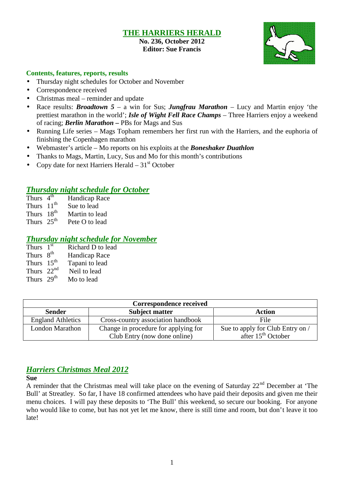## **THE HARRIERS HERALD**

**No. 236, October 2012 Editor: Sue Francis**



#### **Contents, features, reports, results**

- Thursday night schedules for October and November
- Correspondence received
- Christmas meal reminder and update
- Race results: *Broadtown 5* a win for Sus; *Jungfrau Marathon* Lucy and Martin enjoy 'the prettiest marathon in the world'; *Isle of Wight Fell Race Champs* – Three Harriers enjoy a weekend of racing; *Berlin Marathon –* PBs for Mags and Sus
- Running Life series Mags Topham remembers her first run with the Harriers, and the euphoria of finishing the Copenhagen marathon
- Webmaster's article Mo reports on his exploits at the *Boneshaker Duathlon*
- Thanks to Mags, Martin, Lucy, Sus and Mo for this month's contributions
- Copy date for next Harriers Herald  $-31<sup>st</sup>$  October

#### *Thursday night schedule for October*

- Thurs  $4<sup>th</sup>$ Handicap Race
- Thurs  $11<sup>th</sup>$  Sue to lead
- Thurs  $18^{th}$  Martin to lead<br>Thurs  $25^{th}$  Pete O to lead
- Pete O to lead

#### *Thursday night schedule for November*

| Thurs $1st$            | Richard D to lead    |
|------------------------|----------------------|
| Thurs $8th$            | <b>Handicap Race</b> |
| Thurs 15 <sup>th</sup> | Tapani to lead       |
| Thurs $22nd$           | Neil to lead         |
| Thurs 29 <sup>th</sup> | Mo to lead           |

|                          | Correspondence received              |                                  |  |  |  |  |
|--------------------------|--------------------------------------|----------------------------------|--|--|--|--|
| <b>Sender</b>            | <b>Subject matter</b>                | Action                           |  |  |  |  |
| <b>England Athletics</b> | Cross-country association handbook   | File                             |  |  |  |  |
| London Marathon          | Change in procedure for applying for | Sue to apply for Club Entry on / |  |  |  |  |
|                          | Club Entry (now done online)         | after 15 <sup>th</sup> October   |  |  |  |  |

## *Harriers Christmas Meal 2012*

**Sue**

A reminder that the Christmas meal will take place on the evening of Saturday  $22<sup>nd</sup>$  December at 'The Bull' at Streatley. So far, I have 18 confirmed attendees who have paid their deposits and given me their menu choices. I will pay these deposits to 'The Bull' this weekend, so secure our booking. For anyone who would like to come, but has not yet let me know, there is still time and room, but don't leave it too late!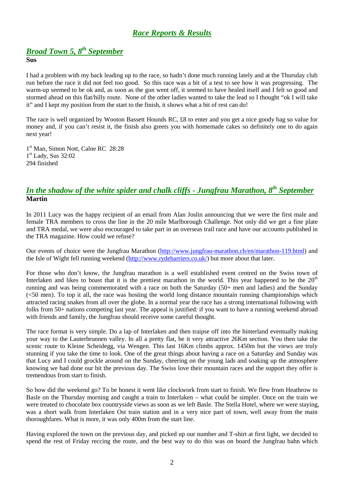## *Race Reports & Results*

## *Broad Town 5, 8 th September*

#### **Sus**

I had a problem with my back leading up to the race, so hadn't done much running lately and at the Thursday club run before the race it did not feel too good. So this race was a bit of a test to see how it was progressing. The warm-up seemed to be ok and, as soon as the gun went off, it seemed to have healed itself and I felt so good and stormed ahead on this flat/hilly route. None of the other ladies wanted to take the lead so I thought "ok I will take it" and I kept my position from the start to the finish, it shows what a bit of rest can do!

The race is well organized by Wooton Bassett Hounds RC, £8 to enter and you get a nice goody bag so value for money and, if you can't resist it, the finish also greets you with homemade cakes so definitely one to do again next year!

1 st Man, Simon Nott, Calne RC 28:28 1 st Lady, Sus 32:02 294 finished

## *In the shadow of the white spider and chalk cliffs - Jungfrau Marathon, 8th September* **Martin**

In 2011 Lucy was the happy recipient of an email from Alan Joslin announcing that we were the first male and female TRA members to cross the line in the 20 mile Marlborough Challenge. Not only did we get a fine plate and TRA medal, we were also encouraged to take part in an overseas trail race and have our accounts published in the TRA magazine. How could we refuse?

Our events of choice were the Jungfrau Marathon (http://www.jungfrau-marathon.ch/en/marathon-119.html) and the Isle of Wight fell running weekend (http://www.rydeharriers.co.uk/) but more about that later.

For those who don't know, the Jungfrau marathon is a well established event centred on the Swiss town of Interlaken and likes to boast that it is the prettiest marathon in the world. This year happened to be the  $20<sup>th</sup>$ running and was being commemorated with a race on both the Saturday (50+ men and ladies) and the Sunday (<50 men). To top it all, the race was hosting the world long distance mountain running championships which attracted racing snakes from all over the globe. In a normal year the race has a strong international following with folks from 50+ nations competing last year. The appeal is justified: if you want to have a running weekend abroad with friends and family, the Jungfrau should receive some careful thought.

The race format is very simple. Do a lap of Interlaken and then traipse off into the hinterland eventually making your way to the Lauterbrunnen valley. In all a pretty flat, be it very attractive 26Km section. You then take the scenic route to Kleine Scheidegg, via Wengen. This last 16Km climbs approx. 1450m but the views are truly stunning if you take the time to look. One of the great things about having a race on a Saturday and Sunday was that Lucy and I could grockle around on the Sunday, cheering on the young lads and soaking up the atmosphere knowing we had done our bit the previous day. The Swiss love their mountain races and the support they offer is tremendous from start to finish.

So how did the weekend go? To be honest it went like clockwork from start to finish. We flew from Heathrow to Basle on the Thursday morning and caught a train to Interlaken – what could be simpler. Once on the train we were treated to chocolate box countryside views as soon as we left Basle. The Stella Hotel, where we were staying, was a short walk from Interlaken Ost train station and in a very nice part of town, well away from the main thoroughfares. What is more, it was only 400m from the start line.

Having explored the town on the previous day, and picked up our number and T-shirt at first light, we decided to spend the rest of Friday reccing the route, and the best way to do this was on board the Jungfrau bahn which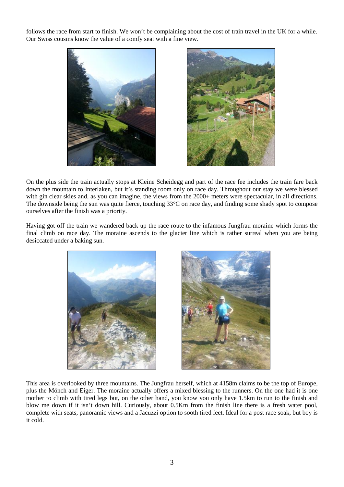follows the race from start to finish. We won't be complaining about the cost of train travel in the UK for a while. Our Swiss cousins know the value of a comfy seat with a fine view.





On the plus side the train actually stops at Kleine Scheidegg and part of the race fee includes the train fare back down the mountain to Interlaken, but it's standing room only on race day. Throughout our stay we were blessed with gin clear skies and, as you can imagine, the views from the 2000+ meters were spectacular, in all directions. The downside being the sun was quite fierce, touching 33°C on race day, and finding some shady spot to compose ourselves after the finish was a priority.

Having got off the train we wandered back up the race route to the infamous Jungfrau moraine which forms the final climb on race day. The moraine ascends to the glacier line which is rather surreal when you are being desiccated under a baking sun.





This area is overlooked by three mountains. The Jungfrau herself, which at 4158m claims to be the top of Europe, plus the Mönch and Eiger. The moraine actually offers a mixed blessing to the runners. On the one had it is one mother to climb with tired legs but, on the other hand, you know you only have 1.5km to run to the finish and blow me down if it isn't down hill. Curiously, about 0.5Km from the finish line there is a fresh water pool, complete with seats, panoramic views and a Jacuzzi option to sooth tired feet. Ideal for a post race soak, but boy is it cold.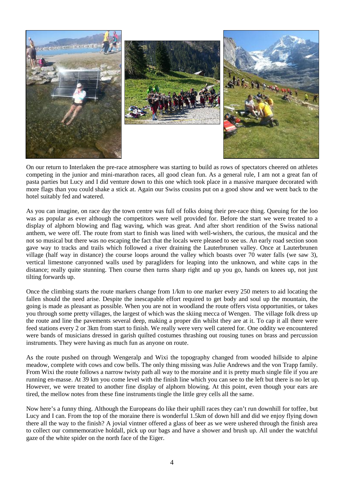

On our return to Interlaken the pre-race atmosphere was starting to build as rows of spectators cheered on athletes competing in the junior and mini-marathon races, all good clean fun. As a general rule, I am not a great fan of pasta parties but Lucy and I did venture down to this one which took place in a massive marquee decorated with more flags than you could shake a stick at. Again our Swiss cousins put on a good show and we went back to the hotel suitably fed and watered.

As you can imagine, on race day the town centre was full of folks doing their pre-race thing. Queuing for the loo was as popular as ever although the competitors were well provided for. Before the start we were treated to a display of alphorn blowing and flag waving, which was great. And after short rendition of the Swiss national anthem, we were off. The route from start to finish was lined with well-wishers, the curious, the musical and the not so musical but there was no escaping the fact that the locals were pleased to see us. An early road section soon gave way to tracks and trails which followed a river draining the Lauterbrunen valley. Once at Lauterbrunen village (half way in distance) the course loops around the valley which boasts over 70 water falls (we saw 3), vertical limestone canyonned walls used by paragliders for leaping into the unknown, and white caps in the distance; really quite stunning. Then course then turns sharp right and up you go, hands on knees up, not just tilting forwards up.

Once the climbing starts the route markers change from 1/km to one marker every 250 meters to aid locating the fallen should the need arise. Despite the inescapable effort required to get body and soul up the mountain, the going is made as pleasant as possible. When you are not in woodland the route offers vista opportunities, or takes you through some pretty villages, the largest of which was the skiing mecca of Wengen. The village folk dress up the route and line the pavements several deep, making a proper din whilst they are at it. To cap it all there were feed stations every 2 or 3km from start to finish. We really were very well catered for. One oddity we encountered were bands of musicians dressed in garish quilted costumes thrashing out rousing tunes on brass and percussion instruments. They were having as much fun as anyone on route.

As the route pushed on through Wengeralp and Wixi the topography changed from wooded hillside to alpine meadow, complete with cows and cow bells. The only thing missing was Julie Andrews and the von Trapp family. From Wixi the route follows a narrow twisty path all way to the moraine and it is pretty much single file if you are running en-masse. At 39 km you come level with the finish line which you can see to the left but there is no let up. However, we were treated to another fine display of alphorn blowing. At this point, even though your ears are tired, the mellow notes from these fine instruments tingle the little grey cells all the same.

Now here's a funny thing. Although the Europeans do like their uphill races they can't run downhill for toffee, but Lucy and I can. From the top of the moraine there is wonderful 1.5km of down hill and did we enjoy flying down there all the way to the finish? A jovial vintner offered a glass of beer as we were ushered through the finish area to collect our commemorative holdall, pick up our bags and have a shower and brush up. All under the watchful gaze of the white spider on the north face of the Eiger.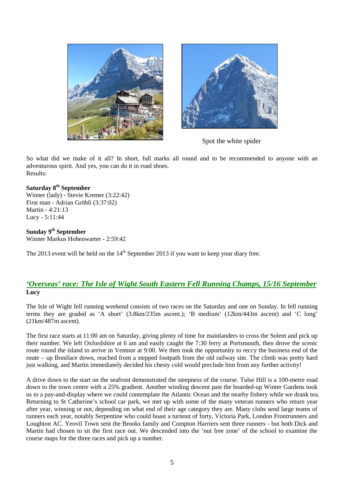



Spot the white spider

So what did we make of it all? In short, full marks all round and to be recommended to anyone with an adventurous spirit. And yes, you can do it in road shoes. Results:

#### **Saturday 8th September**

Winner (lady) - Stevie Kremer (3:22:42) First man - Adrian Gröbli (3:37:02) Martin - 4:21:13 Lucy - 5:11:44

**Sunday 9th September**

Winner Markus Hohenwarter - 2:59:42

The 2013 event will be held on the  $14<sup>th</sup>$  September 2013 if you want to keep your diary free.

#### *'Overseas' race: The Isle of Wight South Eastern Fell Running Champs, 15/16 September* **Lucy**

The Isle of Wight fell running weekend consists of two races on the Saturday and one on Sunday. In fell running terms they are graded as 'A short' (3.8km/235m ascent.); 'B medium' (12km/443m ascent) and 'C long' (21km/487m ascent).

The first race starts at 11:00 am on Saturday, giving plenty of time for mainlanders to cross the Solent and pick up their number. We left Oxfordshire at 6 am and easily caught the 7:30 ferry at Portsmouth, then drove the scenic route round the island to arrive in Ventnor at 9:00. We then took the opportunity to reccy the business end of the route – up Boniface down, reached from a stepped footpath from the old railway site. The climb was pretty hard just walking, and Martin immediately decided his chesty cold would preclude him from any further activity!

A drive down to the start on the seafront demonstrated the steepness of the course. Tulse Hill is a 100-metre road down to the town centre with a 25% gradient. Another winding descent past the boarded-up Winter Gardens took us to a pay-and-display where we could contemplate the Atlantic Ocean and the nearby fishery while we drank tea. Returning to St Catherine's school car park, we met up with some of the many veteran runners who return year after year, winning or not, depending on what end of their age category they are. Many clubs send large teams of runners each year, notably Serpentine who could boast a turnout of forty, Victoria Park, London Frontrunners and Loughton AC. Yeovil Town sent the Brooks family and Compton Harriers sent three runners - but both Dick and Martin had chosen to sit the first race out. We descended into the 'nut free zone' of the school to examine the course maps for the three races and pick up a number.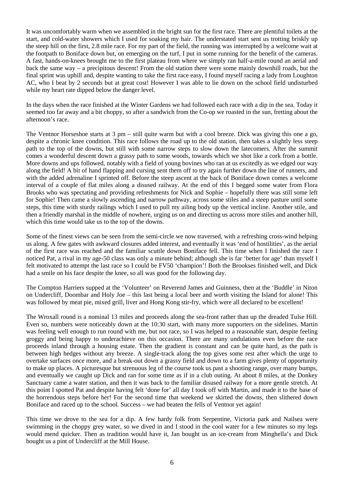It was uncomfortably warm when we assembled in the bright sun for the first race. There are plentiful toilets at the start, and cold-water showers which I used for soaking my hair. The understated start sent us trotting briskly up the steep hill on the first, 2.8 mile race. For my part of the field, the running was interrupted by a welcome wait at the footpath to Boniface down but, on emerging on the turf, I put in some running for the benefit of the cameras. A fast, hands-on-knees brought me to the first plateau from where we simply ran half-a-mile round an aerial and back the same way – a precipitous descent! From the old station there were some mainly downhill roads, but the final sprint was uphill and, despite wanting to take the first race easy, I found myself racing a lady from Loughton AC, who I beat by 2 seconds but at great cost! However I was able to lie down on the school field undisturbed while my heart rate dipped below the danger level.

In the days when the race finished at the Winter Gardens we had followed each race with a dip in the sea. Today it seemed too far away and a bit choppy, so after a sandwich from the Co-op we roasted in the sun, fretting about the afternoon's race.

The Ventnor Horseshoe starts at 3 pm – still quite warm but with a cool breeze. Dick was giving this one a go, despite a chronic knee condition. This race follows the road up to the old station, then takes a slightly less steep path to the top of the downs, but still with some narrow steps to slow down the latecomers. After the summit comes a wonderful descent down a grassy path to some woods, towards which we shot like a cork from a bottle. More downs and ups followed, notably with a field of young bovines who ran at us excitedly as we edged our way along the field! A bit of hand flapping and cursing sent them off to try again further down the line of runners, and with the added adrenaline I sprinted off. Before the steep ascent at the back of Boniface down comes a welcome interval of a couple of flat miles along a disused railway. At the end of this I begged some water from Flora Brooks who was spectating and providing refreshments for Nick and Sophie – hopefully there was still some left for Sophie! Then came a slowly ascending and narrow pathway, across some stiles and a steep pasture until some steps, this time with sturdy railings which I used to pull my ailing body up the vertical incline. Another stile, and then a friendly marshal in the middle of nowhere, urging us on and directing us across more stiles and another hill, which this time would take us to the top of the downs.

Some of the finest views can be seen from the semi-circle we now traversed, with a refreshing cross-wind helping us along. A few gates with awkward closures added interest, and eventually it was 'end of hostilities', as the aerial of the first race was reached and the familiar scuttle down Boniface fell. This time when I finished the race I noticed Pat, a rival in my age-50 class was only a minute behind; although she is far 'better for age' than myself I felt motivated to attempt the last race so I could be FV50 'champion'! Both the Brookses finished well, and Dick had a smile on his face despite the knee, so all was good for the following day.

The Compton Harriers supped at the 'Volunteer' on Reverend James and Guinness, then at the 'Buddle' in Niton on Undercliff, Doombar and Holy Joe – this last being a local beer and worth visiting the Island for alone! This was followed by meat pie, mixed grill, liver and Hong Kong stir-fry, which were all declared to be excellent!

The Wroxall round is a nominal 13 miles and proceeds along the sea-front rather than up the dreaded Tulse Hill. Even so, numbers were noticeably down at the 10:30 start, with many more supporters on the sidelines. Martin was feeling well enough to run round with me, but not race, so I was helped to a reasonable start, despite feeling groggy and being happy to underachieve on this occasion. There are many undulations even before the race proceeds inland through a housing estate. Then the gradient is constant and can be quite hard, as the path is between high hedges without any breeze. A single-track along the top gives some rest after which the urge to overtake surfaces once more, and a break-out down a grassy field and down to a farm gives plenty of opportunity to make up places. A picturesque but strenuous leg of the course took us past a shooting range, over many bumps, and eventually we caught up Dick and ran for some time as if in a club outing. At about 8 miles, at the Donkey Sanctuary came a water station, and then it was back to the familiar disused railway for a more gentle stretch. At this point I spotted Pat and despite having felt 'done for' all day I took off with Martin, and made it to the base of the horrendous steps before her! For the second time that weekend we skirted the downs, then slithered down Boniface and raced up to the school. Success – we had beaten the fells of Ventnor yet again!

This time we drove to the sea for a dip. A few hardy folk from Serpentine, Victoria park and Nailsea were swimming in the choppy grey water, so we dived in and I stood in the cool water for a few minutes so my legs would mend quicker. Then as tradition would have it, Jan bought us an ice-cream from Minghella's and Dick bought us a pint of Undercliff at the Mill House.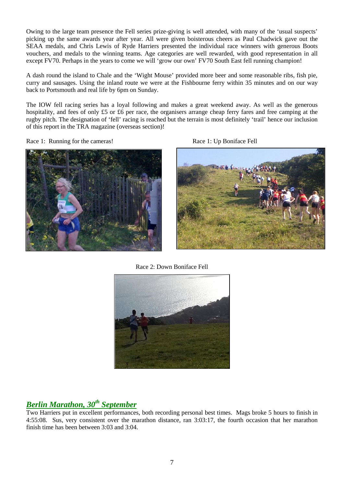Owing to the large team presence the Fell series prize-giving is well attended, with many of the 'usual suspects' picking up the same awards year after year. All were given boisterous cheers as Paul Chadwick gave out the SEAA medals, and Chris Lewis of Ryde Harriers presented the individual race winners with generous Boots vouchers, and medals to the winning teams. Age categories are well rewarded, with good representation in all except FV70. Perhaps in the years to come we will 'grow our own' FV70 South East fell running champion!

A dash round the island to Chale and the 'Wight Mouse' provided more beer and some reasonable ribs, fish pie, curry and sausages. Using the inland route we were at the Fishbourne ferry within 35 minutes and on our way back to Portsmouth and real life by 6pm on Sunday.

The IOW fell racing series has a loyal following and makes a great weekend away. As well as the generous hospitality, and fees of only £5 or £6 per race, the organisers arrange cheap ferry fares and free camping at the rugby pitch. The designation of 'fell' racing is reached but the terrain is most definitely 'trail' hence our inclusion of this report in the TRA magazine (overseas section)!

Race 1: Running for the cameras! Race 1: Up Boniface Fell







Race 2: Down Boniface Fell



# *Berlin Marathon, 30th September*

Two Harriers put in excellent performances, both recording personal best times. Mags broke 5 hours to finish in 4:55:08. Sus, very consistent over the marathon distance, ran 3:03:17, the fourth occasion that her marathon finish time has been between 3:03 and 3:04.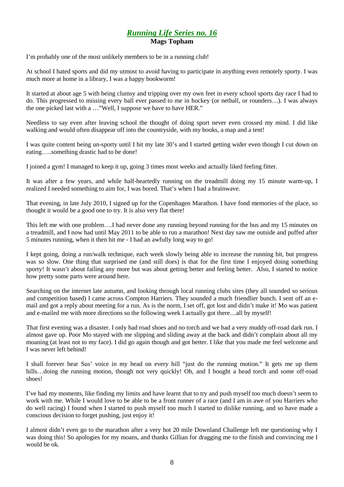#### *Running Life Series no. 16* **Mags Topham**

I'm probably one of the most unlikely members to be in a running club!

At school I hated sports and did my utmost to avoid having to participate in anything even remotely sporty. I was much more at home in a library, I was a happy bookworm!

It started at about age 5 with being clumsy and tripping over my own feet in every school sports day race I had to do. This progressed to missing every ball ever passed to me in hockey (or netball, or rounders…). I was always the one picked last with a …"Well, I suppose we have to have HER."

Needless to say even after leaving school the thought of doing sport never even crossed my mind. I did like walking and would often disappear off into the countryside, with my books, a map and a tent!

I was quite content being un-sporty until I hit my late 30's and I started getting wider even though I cut down on eating…..something drastic had to be done!

I joined a gym! I managed to keep it up, going 3 times most weeks and actually liked feeling fitter.

It was after a few years, and while half-heartedly running on the treadmill doing my 15 minute warm-up, I realized I needed something to aim for, I was bored. That's when I had a brainwave.

That evening, in late July 2010, I signed up for the Copenhagen Marathon. I have fond memories of the place, so thought it would be a good one to try. It is also very flat there!

This left me with one problem….I had never done any running beyond running for the bus and my 15 minutes on a treadmill, and I now had until May 2011 to be able to run a marathon! Next day saw me outside and puffed after 5 minutes running, when it then hit me - I had an awfully long way to go!

I kept going, doing a run/walk technique, each week slowly being able to increase the running bit, but progress was so slow. One thing that surprised me (and still does) is that for the first time I enjoyed doing something sporty! It wasn't about failing any more but was about getting better and feeling better. Also, I started to notice how pretty some parts were around here.

Searching on the internet late autumn, and looking through local running clubs sites (they all sounded so serious and competition based) I came across Compton Harriers. They sounded a much friendlier bunch. I sent off an e mail and got a reply about meeting for a run. As is the norm, I set off, got lost and didn't make it! Mo was patient and e-mailed me with more directions so the following week I actually got there…all by myself!

That first evening was a disaster. I only had road shoes and no torch and we had a very muddy off-road dark run. I almost gave up. Poor Mo stayed with me slipping and sliding away at the back and didn't complain about all my moaning (at least not to my face). I did go again though and got better. I like that you made me feel welcome and I was never left behind!

I shall forever hear Sus' voice in my head on every hill "just do the running motion." It gets me up them hills…doing the running motion, though not very quickly! Oh, and I bought a head torch and some off-road shoes!

I've had my moments, like finding my limits and have learnt that to try and push myself too much doesn't seem to work with me. While I would love to be able to be a front runner of a race (and I am in awe of you Harriers who do well racing) I found when I started to push myself too much I started to dislike running, and so have made a conscious decision to forget pushing, just enjoy it!

I almost didn't even go to the marathon after a very hot 20 mile Downland Challenge left me questioning why I was doing this! So apologies for my moans, and thanks Gillian for dragging me to the finish and convincing me I would be ok.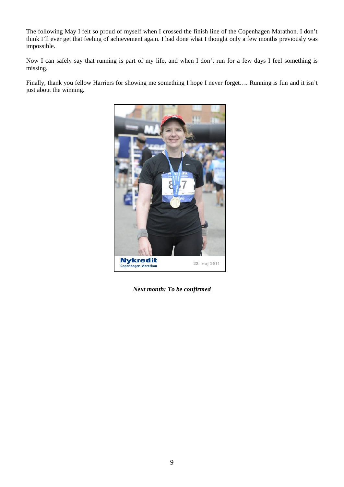The following May I felt so proud of myself when I crossed the finish line of the Copenhagen Marathon. I don't think I'll ever get that feeling of achievement again. I had done what I thought only a few months previously was impossible.

Now I can safely say that running is part of my life, and when I don't run for a few days I feel something is missing.

Finally, thank you fellow Harriers for showing me something I hope I never forget…. Running is fun and it isn't just about the winning.



*Next month: To be confirmed*